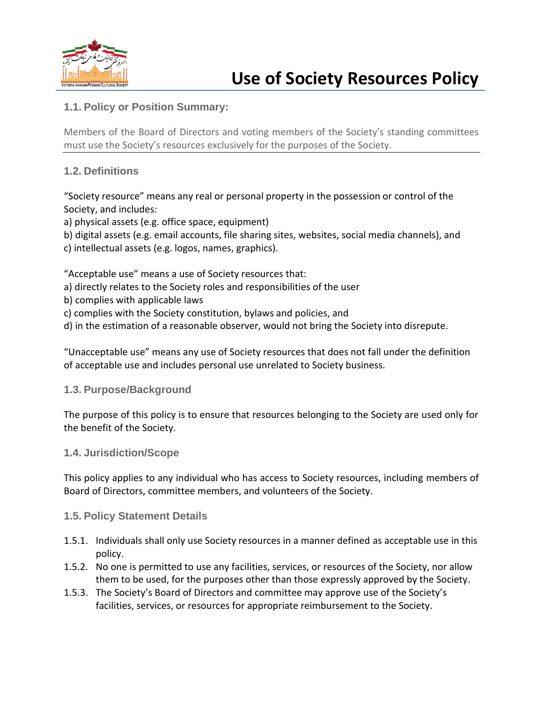

# **1.1. Policy or Position Summary:**

Members of the Board of Directors and voting members of the Society's standing committees must use the Society's resources exclusively for the purposes of the Society.

### **1.2. Definitions**

"Society resource" means any real or personal property in the possession or control of the Society, and includes:

a) physical assets (e.g. office space, equipment)

- b) digital assets (e.g. email accounts, file sharing sites, websites, social media channels), and
- c) intellectual assets (e.g. logos, names, graphics).

"Acceptable use" means a use of Society resources that:

- a) directly relates to the Society roles and responsibilities of the user
- b) complies with applicable laws
- c) complies with the Society constitution, bylaws and policies, and
- d) in the estimation of a reasonable observer, would not bring the Society into disrepute.

"Unacceptable use" means any use of Society resources that does not fall under the definition of acceptable use and includes personal use unrelated to Society business.

#### **1.3. Purpose/Background**

The purpose of this policy is to ensure that resources belonging to the Society are used only for the benefit of the Society.

#### **1.4. Jurisdiction/Scope**

This policy applies to any individual who has access to Society resources, including members of Board of Directors, committee members, and volunteers of the Society.

#### **1.5. Policy Statement Details**

- 1.5.1. Individuals shall only use Society resources in a manner defined as acceptable use in this policy.
- 1.5.2. No one is permitted to use any facilities, services, or resources of the Society, nor allow them to be used, for the purposes other than those expressly approved by the Society.
- 1.5.3. The Society's Board of Directors and committee may approve use of the Society's facilities, services, or resources for appropriate reimbursement to the Society.